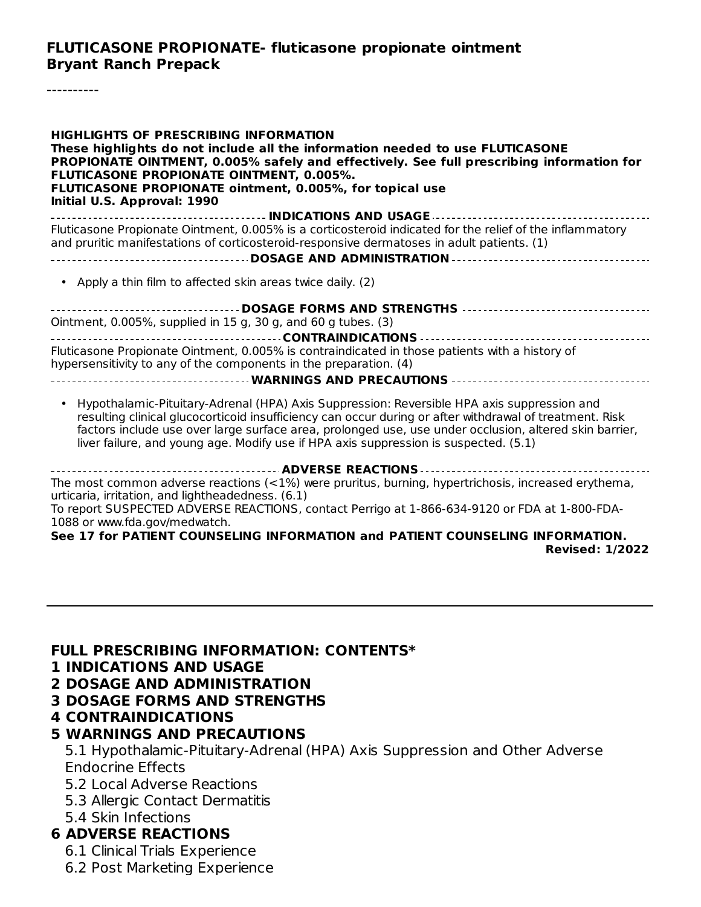**FLUTICASONE PROPIONATE- fluticasone propionate ointment Bryant Ranch Prepack**

----------

| <b>HIGHLIGHTS OF PRESCRIBING INFORMATION</b><br>These highlights do not include all the information needed to use FLUTICASONE<br>PROPIONATE OINTMENT, 0.005% safely and effectively. See full prescribing information for<br>FLUTICASONE PROPIONATE OINTMENT, 0.005%.<br>FLUTICASONE PROPIONATE ointment, 0.005%, for topical use<br>Initial U.S. Approval: 1990                                        |
|---------------------------------------------------------------------------------------------------------------------------------------------------------------------------------------------------------------------------------------------------------------------------------------------------------------------------------------------------------------------------------------------------------|
| Fluticasone Propionate Ointment, 0.005% is a corticosteroid indicated for the relief of the inflammatory<br>and pruritic manifestations of corticosteroid-responsive dermatoses in adult patients. (1)                                                                                                                                                                                                  |
|                                                                                                                                                                                                                                                                                                                                                                                                         |
| Apply a thin film to affected skin areas twice daily. (2)                                                                                                                                                                                                                                                                                                                                               |
| Ointment, 0.005%, supplied in 15 g, 30 g, and 60 g tubes. (3)<br>Fluticasone Propionate Ointment, 0.005% is contraindicated in those patients with a history of<br>hypersensitivity to any of the components in the preparation. (4)<br>------------------------------------WARNINGS AND PRECAUTIONS ---------------------------------                                                                  |
|                                                                                                                                                                                                                                                                                                                                                                                                         |
| Hypothalamic-Pituitary-Adrenal (HPA) Axis Suppression: Reversible HPA axis suppression and<br>resulting clinical glucocorticoid insufficiency can occur during or after withdrawal of treatment. Risk<br>factors include use over large surface area, prolonged use, use under occlusion, altered skin barrier,<br>liver failure, and young age. Modify use if HPA axis suppression is suspected. (5.1) |
| <b> ADVERSE REACTIONS</b>                                                                                                                                                                                                                                                                                                                                                                               |
| The most common adverse reactions (<1%) were pruritus, burning, hypertrichosis, increased erythema,<br>urticaria, irritation, and lightheadedness. (6.1)<br>To report SUSPECTED ADVERSE REACTIONS, contact Perrigo at 1-866-634-9120 or FDA at 1-800-FDA-<br>1088 or www.fda.gov/medwatch.<br><b>17 L., BATIENT COUNCEUNG INFORMATION  J BATIENT COUNCEUNG INFORMATION</b>                              |

**See 17 for PATIENT COUNSELING INFORMATION and PATIENT COUNSELING INFORMATION. Revised: 1/2022**

#### **FULL PRESCRIBING INFORMATION: CONTENTS\***

- **1 INDICATIONS AND USAGE**
- **2 DOSAGE AND ADMINISTRATION**
- **3 DOSAGE FORMS AND STRENGTHS**
- **4 CONTRAINDICATIONS**

#### **5 WARNINGS AND PRECAUTIONS**

5.1 Hypothalamic-Pituitary-Adrenal (HPA) Axis Suppression and Other Adverse Endocrine Effects

- 5.2 Local Adverse Reactions
- 5.3 Allergic Contact Dermatitis
- 5.4 Skin Infections

#### **6 ADVERSE REACTIONS**

6.1 Clinical Trials Experience

6.2 Post Marketing Experience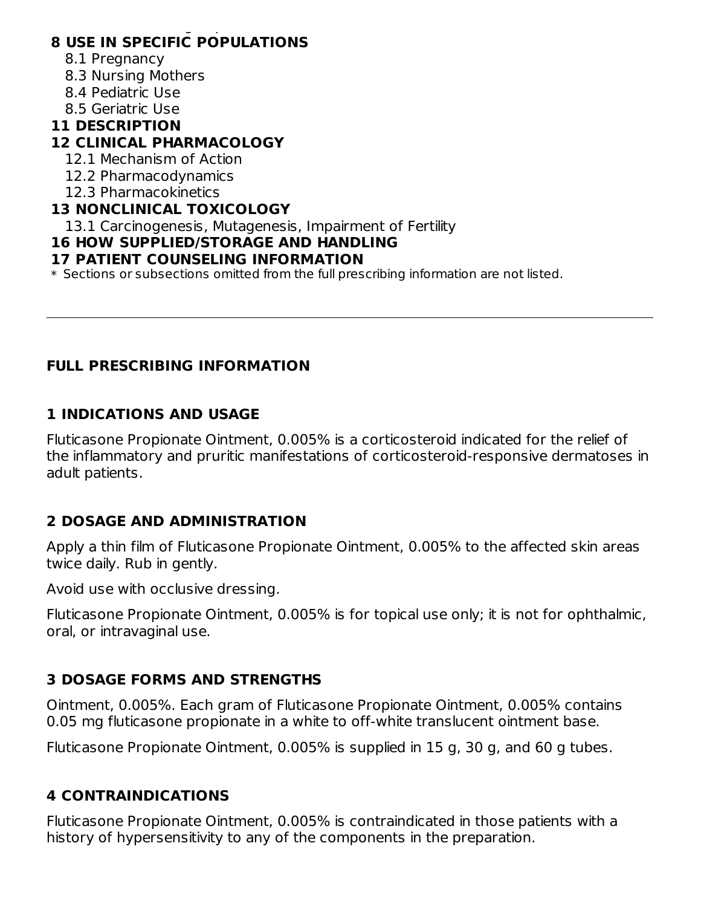#### 6.2 Post Marketing Experience **8 USE IN SPECIFIC POPULATIONS**

- 8.1 Pregnancy
- 8.3 Nursing Mothers
- 8.4 Pediatric Use
- 8.5 Geriatric Use

# **11 DESCRIPTION**

# **12 CLINICAL PHARMACOLOGY**

- 12.1 Mechanism of Action
- 12.2 Pharmacodynamics
- 12.3 Pharmacokinetics

### **13 NONCLINICAL TOXICOLOGY**

13.1 Carcinogenesis, Mutagenesis, Impairment of Fertility

# **16 HOW SUPPLIED/STORAGE AND HANDLING**

### **17 PATIENT COUNSELING INFORMATION**

\* Sections or subsections omitted from the full prescribing information are not listed.

### **FULL PRESCRIBING INFORMATION**

# **1 INDICATIONS AND USAGE**

Fluticasone Propionate Ointment, 0.005% is a corticosteroid indicated for the relief of the inflammatory and pruritic manifestations of corticosteroid-responsive dermatoses in adult patients.

# **2 DOSAGE AND ADMINISTRATION**

Apply a thin film of Fluticasone Propionate Ointment, 0.005% to the affected skin areas twice daily. Rub in gently.

Avoid use with occlusive dressing.

Fluticasone Propionate Ointment, 0.005% is for topical use only; it is not for ophthalmic, oral, or intravaginal use.

# **3 DOSAGE FORMS AND STRENGTHS**

Ointment, 0.005%. Each gram of Fluticasone Propionate Ointment, 0.005% contains 0.05 mg fluticasone propionate in a white to off-white translucent ointment base.

Fluticasone Propionate Ointment, 0.005% is supplied in 15 g, 30 g, and 60 g tubes.

# **4 CONTRAINDICATIONS**

Fluticasone Propionate Ointment, 0.005% is contraindicated in those patients with a history of hypersensitivity to any of the components in the preparation.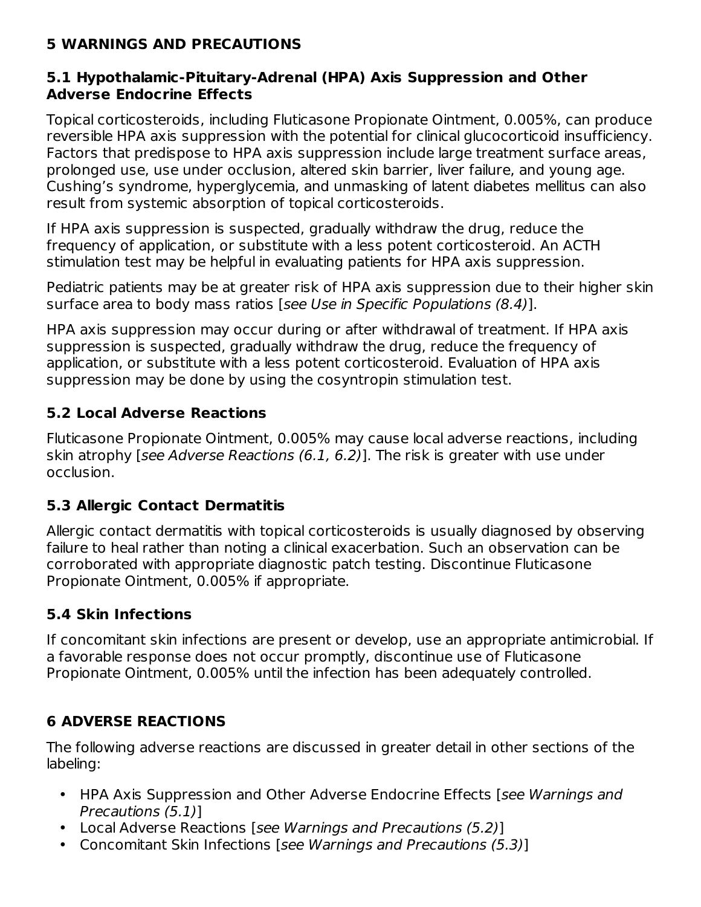### **5 WARNINGS AND PRECAUTIONS**

#### **5.1 Hypothalamic-Pituitary-Adrenal (HPA) Axis Suppression and Other Adverse Endocrine Effects**

Topical corticosteroids, including Fluticasone Propionate Ointment, 0.005%, can produce reversible HPA axis suppression with the potential for clinical glucocorticoid insufficiency. Factors that predispose to HPA axis suppression include large treatment surface areas, prolonged use, use under occlusion, altered skin barrier, liver failure, and young age. Cushing's syndrome, hyperglycemia, and unmasking of latent diabetes mellitus can also result from systemic absorption of topical corticosteroids.

If HPA axis suppression is suspected, gradually withdraw the drug, reduce the frequency of application, or substitute with a less potent corticosteroid. An ACTH stimulation test may be helpful in evaluating patients for HPA axis suppression.

Pediatric patients may be at greater risk of HPA axis suppression due to their higher skin surface area to body mass ratios [see Use in Specific Populations (8.4)].

HPA axis suppression may occur during or after withdrawal of treatment. If HPA axis suppression is suspected, gradually withdraw the drug, reduce the frequency of application, or substitute with a less potent corticosteroid. Evaluation of HPA axis suppression may be done by using the cosyntropin stimulation test.

### **5.2 Local Adverse Reactions**

Fluticasone Propionate Ointment, 0.005% may cause local adverse reactions, including skin atrophy [see Adverse Reactions (6.1, 6.2)]. The risk is greater with use under occlusion.

### **5.3 Allergic Contact Dermatitis**

Allergic contact dermatitis with topical corticosteroids is usually diagnosed by observing failure to heal rather than noting a clinical exacerbation. Such an observation can be corroborated with appropriate diagnostic patch testing. Discontinue Fluticasone Propionate Ointment, 0.005% if appropriate.

### **5.4 Skin Infections**

If concomitant skin infections are present or develop, use an appropriate antimicrobial. If a favorable response does not occur promptly, discontinue use of Fluticasone Propionate Ointment, 0.005% until the infection has been adequately controlled.

### **6 ADVERSE REACTIONS**

The following adverse reactions are discussed in greater detail in other sections of the labeling:

- HPA Axis Suppression and Other Adverse Endocrine Effects [see Warnings and Precautions (5.1)]
- Local Adverse Reactions [see Warnings and Precautions (5.2)]
- Concomitant Skin Infections [see Warnings and Precautions (5.3)]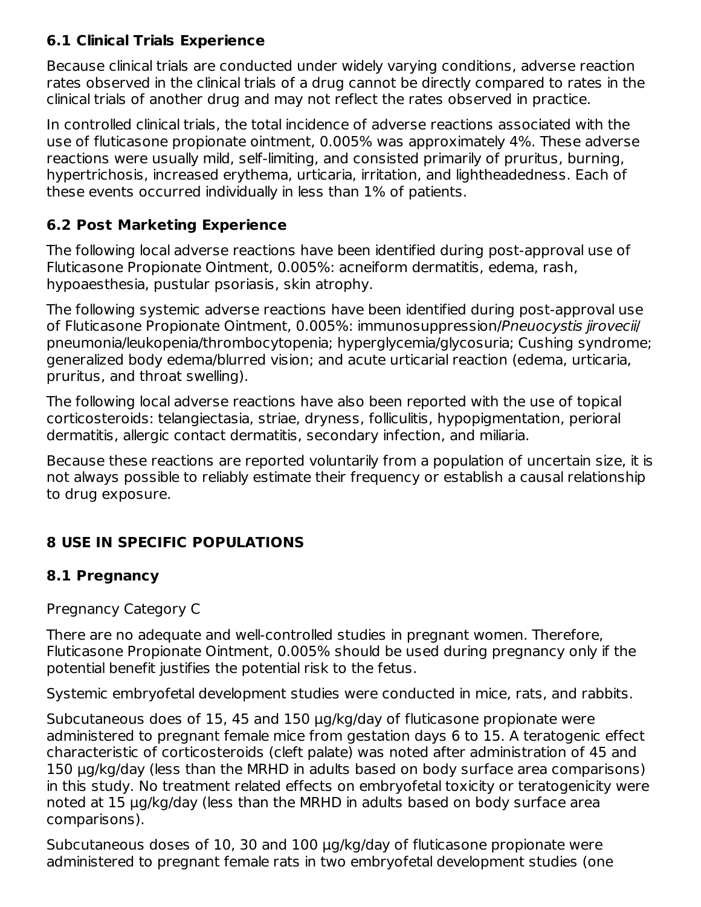# **6.1 Clinical Trials Experience**

Because clinical trials are conducted under widely varying conditions, adverse reaction rates observed in the clinical trials of a drug cannot be directly compared to rates in the clinical trials of another drug and may not reflect the rates observed in practice.

In controlled clinical trials, the total incidence of adverse reactions associated with the use of fluticasone propionate ointment, 0.005% was approximately 4%. These adverse reactions were usually mild, self-limiting, and consisted primarily of pruritus, burning, hypertrichosis, increased erythema, urticaria, irritation, and lightheadedness. Each of these events occurred individually in less than 1% of patients.

# **6.2 Post Marketing Experience**

The following local adverse reactions have been identified during post-approval use of Fluticasone Propionate Ointment, 0.005%: acneiform dermatitis, edema, rash, hypoaesthesia, pustular psoriasis, skin atrophy.

The following systemic adverse reactions have been identified during post-approval use of Fluticasone Propionate Ointment, 0.005%: immunosuppression/Pneuocystis jirovecii/ pneumonia/leukopenia/thrombocytopenia; hyperglycemia/glycosuria; Cushing syndrome; generalized body edema/blurred vision; and acute urticarial reaction (edema, urticaria, pruritus, and throat swelling).

The following local adverse reactions have also been reported with the use of topical corticosteroids: telangiectasia, striae, dryness, folliculitis, hypopigmentation, perioral dermatitis, allergic contact dermatitis, secondary infection, and miliaria.

Because these reactions are reported voluntarily from a population of uncertain size, it is not always possible to reliably estimate their frequency or establish a causal relationship to drug exposure.

# **8 USE IN SPECIFIC POPULATIONS**

### **8.1 Pregnancy**

Pregnancy Category C

There are no adequate and well-controlled studies in pregnant women. Therefore, Fluticasone Propionate Ointment, 0.005% should be used during pregnancy only if the potential benefit justifies the potential risk to the fetus.

Systemic embryofetal development studies were conducted in mice, rats, and rabbits.

Subcutaneous does of 15, 45 and 150 μg/kg/day of fluticasone propionate were administered to pregnant female mice from gestation days 6 to 15. A teratogenic effect characteristic of corticosteroids (cleft palate) was noted after administration of 45 and 150 μg/kg/day (less than the MRHD in adults based on body surface area comparisons) in this study. No treatment related effects on embryofetal toxicity or teratogenicity were noted at 15 μg/kg/day (less than the MRHD in adults based on body surface area comparisons).

Subcutaneous doses of 10, 30 and 100 μg/kg/day of fluticasone propionate were administered to pregnant female rats in two embryofetal development studies (one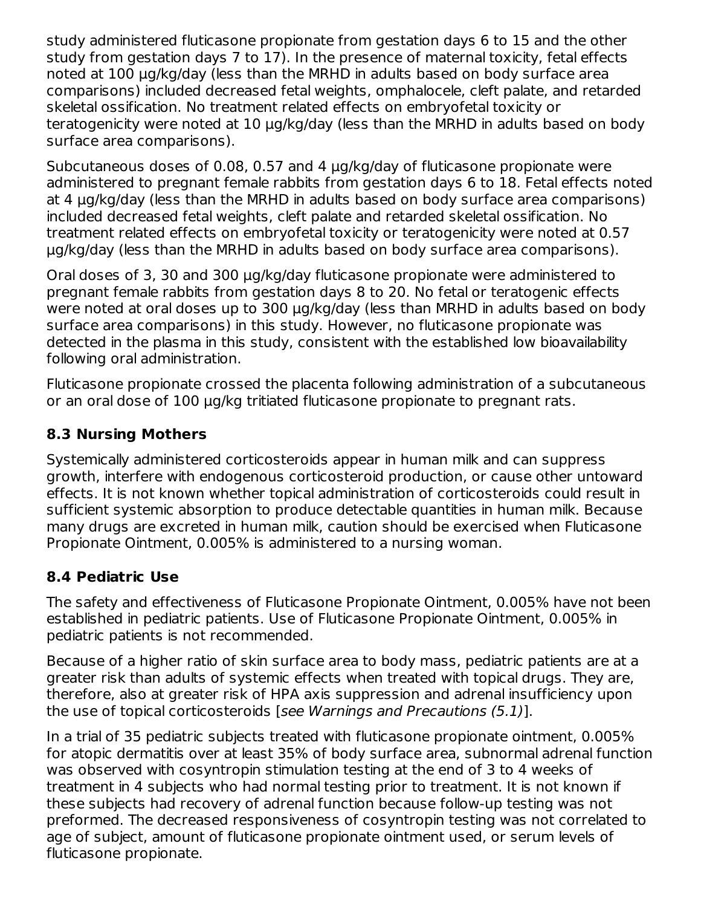study administered fluticasone propionate from gestation days 6 to 15 and the other study from gestation days 7 to 17). In the presence of maternal toxicity, fetal effects noted at 100 μg/kg/day (less than the MRHD in adults based on body surface area comparisons) included decreased fetal weights, omphalocele, cleft palate, and retarded skeletal ossification. No treatment related effects on embryofetal toxicity or teratogenicity were noted at 10 μg/kg/day (less than the MRHD in adults based on body surface area comparisons).

Subcutaneous doses of 0.08, 0.57 and 4 μg/kg/day of fluticasone propionate were administered to pregnant female rabbits from gestation days 6 to 18. Fetal effects noted at 4 μg/kg/day (less than the MRHD in adults based on body surface area comparisons) included decreased fetal weights, cleft palate and retarded skeletal ossification. No treatment related effects on embryofetal toxicity or teratogenicity were noted at 0.57 μg/kg/day (less than the MRHD in adults based on body surface area comparisons).

Oral doses of 3, 30 and 300 μg/kg/day fluticasone propionate were administered to pregnant female rabbits from gestation days 8 to 20. No fetal or teratogenic effects were noted at oral doses up to 300 μg/kg/day (less than MRHD in adults based on body surface area comparisons) in this study. However, no fluticasone propionate was detected in the plasma in this study, consistent with the established low bioavailability following oral administration.

Fluticasone propionate crossed the placenta following administration of a subcutaneous or an oral dose of 100 μg/kg tritiated fluticasone propionate to pregnant rats.

### **8.3 Nursing Mothers**

Systemically administered corticosteroids appear in human milk and can suppress growth, interfere with endogenous corticosteroid production, or cause other untoward effects. It is not known whether topical administration of corticosteroids could result in sufficient systemic absorption to produce detectable quantities in human milk. Because many drugs are excreted in human milk, caution should be exercised when Fluticasone Propionate Ointment, 0.005% is administered to a nursing woman.

### **8.4 Pediatric Use**

The safety and effectiveness of Fluticasone Propionate Ointment, 0.005% have not been established in pediatric patients. Use of Fluticasone Propionate Ointment, 0.005% in pediatric patients is not recommended.

Because of a higher ratio of skin surface area to body mass, pediatric patients are at a greater risk than adults of systemic effects when treated with topical drugs. They are, therefore, also at greater risk of HPA axis suppression and adrenal insufficiency upon the use of topical corticosteroids [see Warnings and Precautions (5.1)].

In a trial of 35 pediatric subjects treated with fluticasone propionate ointment, 0.005% for atopic dermatitis over at least 35% of body surface area, subnormal adrenal function was observed with cosyntropin stimulation testing at the end of 3 to 4 weeks of treatment in 4 subjects who had normal testing prior to treatment. It is not known if these subjects had recovery of adrenal function because follow-up testing was not preformed. The decreased responsiveness of cosyntropin testing was not correlated to age of subject, amount of fluticasone propionate ointment used, or serum levels of fluticasone propionate.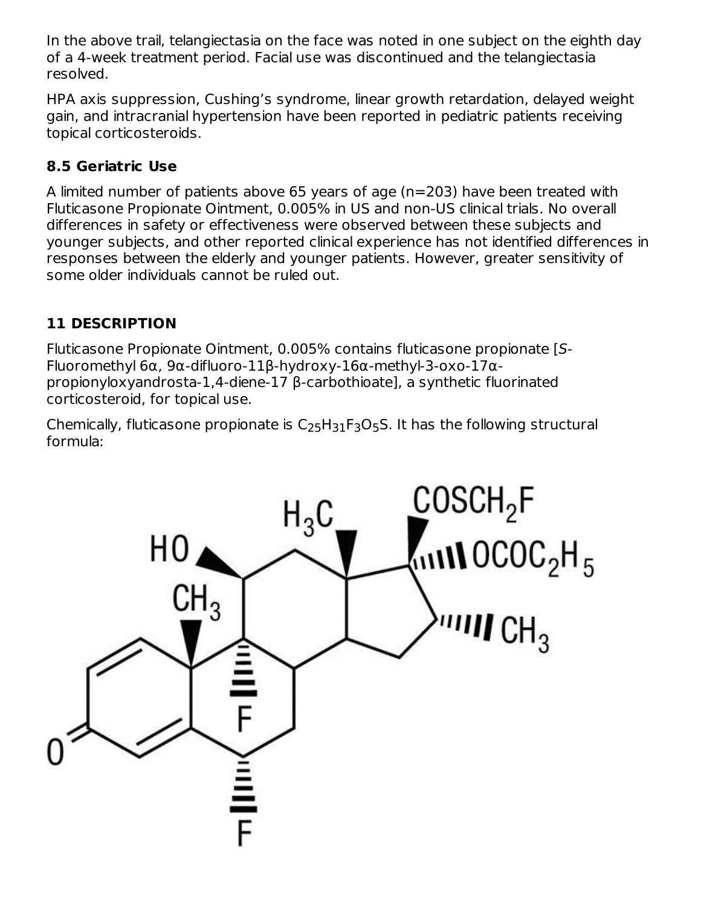In the above trail, telangiectasia on the face was noted in one subject on the eighth day of a 4-week treatment period. Facial use was discontinued and the telangiectasia resolved.

HPA axis suppression, Cushing's syndrome, linear growth retardation, delayed weight gain, and intracranial hypertension have been reported in pediatric patients receiving topical corticosteroids.

# **8.5 Geriatric Use**

A limited number of patients above 65 years of age (n=203) have been treated with Fluticasone Propionate Ointment, 0.005% in US and non-US clinical trials. No overall differences in safety or effectiveness were observed between these subjects and younger subjects, and other reported clinical experience has not identified differences in responses between the elderly and younger patients. However, greater sensitivity of some older individuals cannot be ruled out.

# **11 DESCRIPTION**

Fluticasone Propionate Ointment, 0.005% contains fluticasone propionate [S-Fluoromethyl 6α, 9α-difluoro-11β-hydroxy-16α-methyl-3-oxo-17αpropionyloxyandrosta-1,4-diene-17 β-carbothioate], a synthetic fluorinated corticosteroid, for topical use.

Chemically, fluticasone propionate is  $\mathsf{C}_{25}\mathsf{H}_{31}\mathsf{F}_3\mathsf{O}_5\mathsf{S}.$  It has the following structural formula:

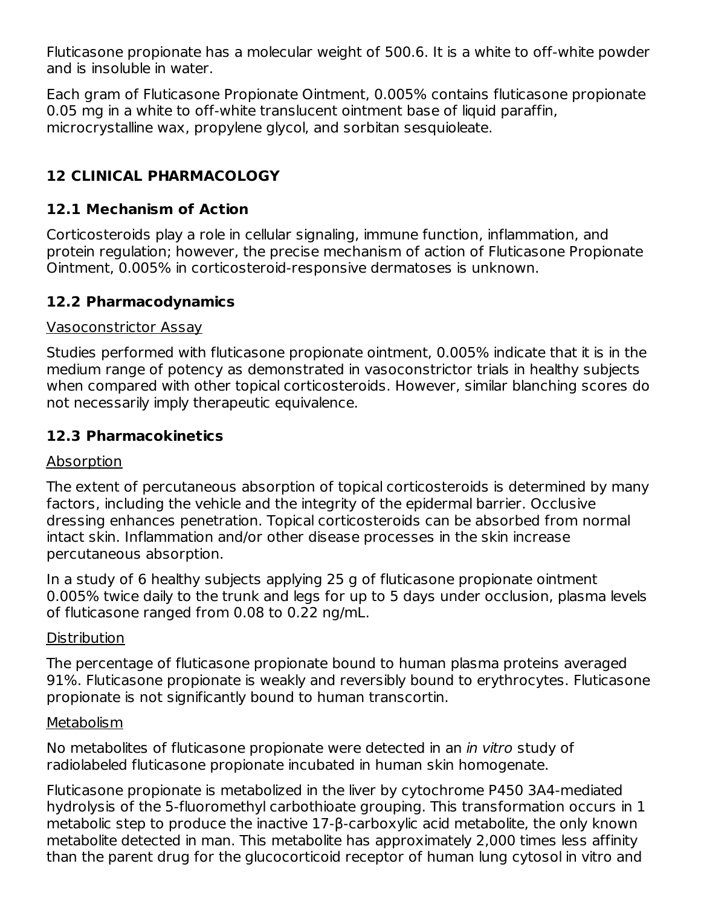Fluticasone propionate has a molecular weight of 500.6. It is a white to off-white powder and is insoluble in water.

Each gram of Fluticasone Propionate Ointment, 0.005% contains fluticasone propionate 0.05 mg in a white to off-white translucent ointment base of liquid paraffin, microcrystalline wax, propylene glycol, and sorbitan sesquioleate.

# **12 CLINICAL PHARMACOLOGY**

### **12.1 Mechanism of Action**

Corticosteroids play a role in cellular signaling, immune function, inflammation, and protein regulation; however, the precise mechanism of action of Fluticasone Propionate Ointment, 0.005% in corticosteroid-responsive dermatoses is unknown.

#### **12.2 Pharmacodynamics**

#### Vasoconstrictor Assay

Studies performed with fluticasone propionate ointment, 0.005% indicate that it is in the medium range of potency as demonstrated in vasoconstrictor trials in healthy subjects when compared with other topical corticosteroids. However, similar blanching scores do not necessarily imply therapeutic equivalence.

### **12.3 Pharmacokinetics**

#### Absorption

The extent of percutaneous absorption of topical corticosteroids is determined by many factors, including the vehicle and the integrity of the epidermal barrier. Occlusive dressing enhances penetration. Topical corticosteroids can be absorbed from normal intact skin. Inflammation and/or other disease processes in the skin increase percutaneous absorption.

In a study of 6 healthy subjects applying 25 g of fluticasone propionate ointment 0.005% twice daily to the trunk and legs for up to 5 days under occlusion, plasma levels of fluticasone ranged from 0.08 to 0.22 ng/mL.

#### **Distribution**

The percentage of fluticasone propionate bound to human plasma proteins averaged 91%. Fluticasone propionate is weakly and reversibly bound to erythrocytes. Fluticasone propionate is not significantly bound to human transcortin.

#### Metabolism

No metabolites of fluticasone propionate were detected in an in vitro study of radiolabeled fluticasone propionate incubated in human skin homogenate.

Fluticasone propionate is metabolized in the liver by cytochrome P450 3A4-mediated hydrolysis of the 5-fluoromethyl carbothioate grouping. This transformation occurs in 1 metabolic step to produce the inactive 17-β-carboxylic acid metabolite, the only known metabolite detected in man. This metabolite has approximately 2,000 times less affinity than the parent drug for the glucocorticoid receptor of human lung cytosol in vitro and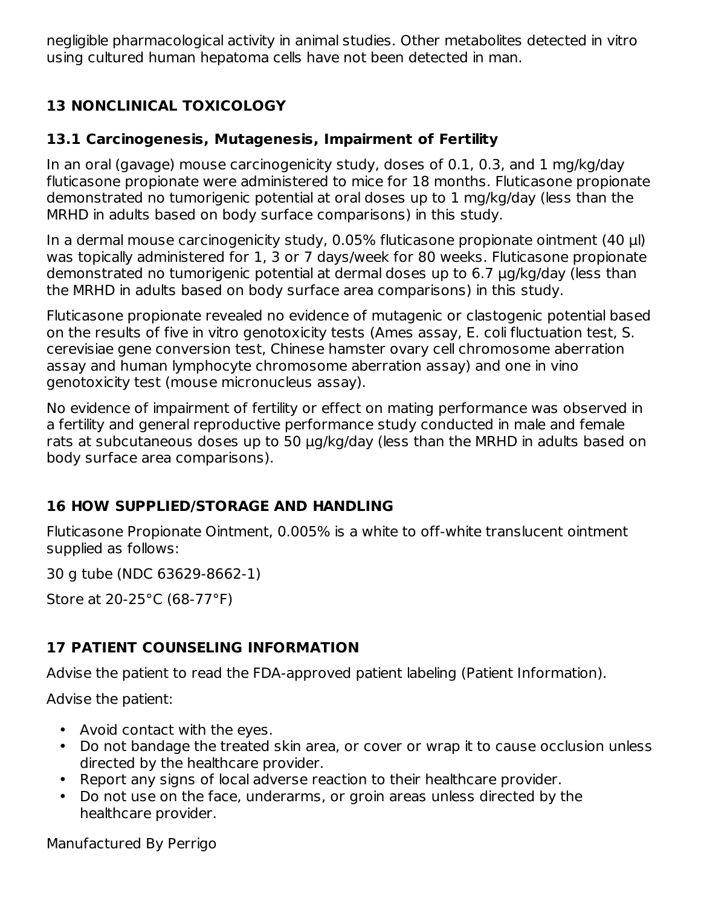negligible pharmacological activity in animal studies. Other metabolites detected in vitro using cultured human hepatoma cells have not been detected in man.

# **13 NONCLINICAL TOXICOLOGY**

### **13.1 Carcinogenesis, Mutagenesis, Impairment of Fertility**

In an oral (gavage) mouse carcinogenicity study, doses of 0.1, 0.3, and 1 mg/kg/day fluticasone propionate were administered to mice for 18 months. Fluticasone propionate demonstrated no tumorigenic potential at oral doses up to 1 mg/kg/day (less than the MRHD in adults based on body surface comparisons) in this study.

In a dermal mouse carcinogenicity study, 0.05% fluticasone propionate ointment (40 μl) was topically administered for 1, 3 or 7 days/week for 80 weeks. Fluticasone propionate demonstrated no tumorigenic potential at dermal doses up to 6.7 μg/kg/day (less than the MRHD in adults based on body surface area comparisons) in this study.

Fluticasone propionate revealed no evidence of mutagenic or clastogenic potential based on the results of five in vitro genotoxicity tests (Ames assay, E. coli fluctuation test, S. cerevisiae gene conversion test, Chinese hamster ovary cell chromosome aberration assay and human lymphocyte chromosome aberration assay) and one in vino genotoxicity test (mouse micronucleus assay).

No evidence of impairment of fertility or effect on mating performance was observed in a fertility and general reproductive performance study conducted in male and female rats at subcutaneous doses up to 50 μg/kg/day (less than the MRHD in adults based on body surface area comparisons).

# **16 HOW SUPPLIED/STORAGE AND HANDLING**

Fluticasone Propionate Ointment, 0.005% is a white to off-white translucent ointment supplied as follows:

30 g tube (NDC 63629-8662-1)

Store at 20-25°C (68-77°F)

# **17 PATIENT COUNSELING INFORMATION**

Advise the patient to read the FDA-approved patient labeling (Patient Information).

Advise the patient:

- Avoid contact with the eyes.
- Do not bandage the treated skin area, or cover or wrap it to cause occlusion unless directed by the healthcare provider.
- Report any signs of local adverse reaction to their healthcare provider.
- Do not use on the face, underarms, or groin areas unless directed by the healthcare provider.

Manufactured By Perrigo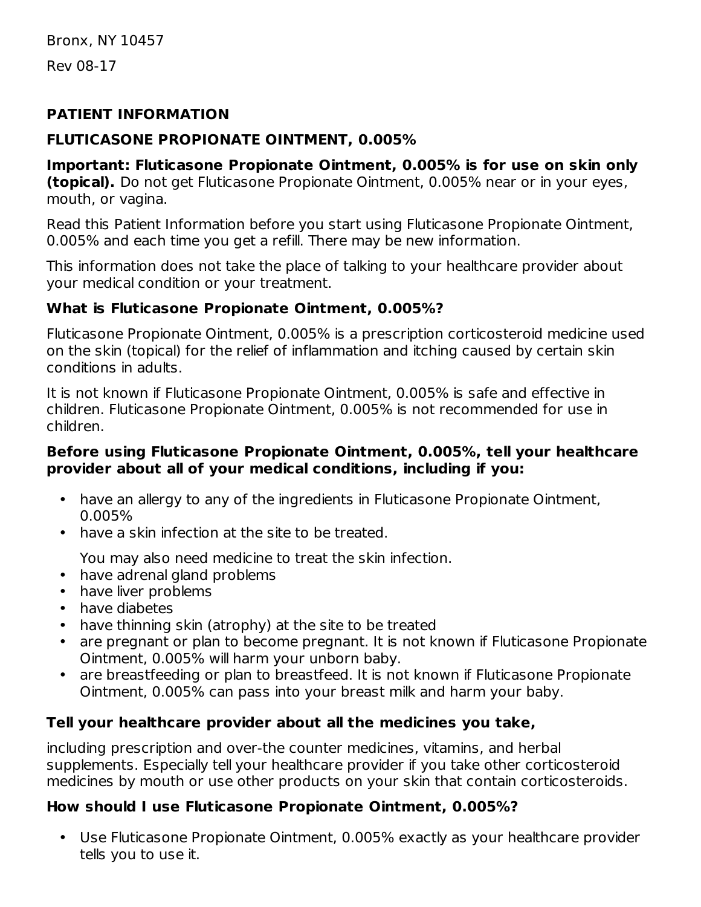Bronx, NY 10457

Rev 08-17

#### **PATIENT INFORMATION**

### **FLUTICASONE PROPIONATE OINTMENT, 0.005%**

**Important: Fluticasone Propionate Ointment, 0.005% is for use on skin only (topical).** Do not get Fluticasone Propionate Ointment, 0.005% near or in your eyes, mouth, or vagina.

Read this Patient Information before you start using Fluticasone Propionate Ointment, 0.005% and each time you get a refill. There may be new information.

This information does not take the place of talking to your healthcare provider about your medical condition or your treatment.

# **What is Fluticasone Propionate Ointment, 0.005%?**

Fluticasone Propionate Ointment, 0.005% is a prescription corticosteroid medicine used on the skin (topical) for the relief of inflammation and itching caused by certain skin conditions in adults.

It is not known if Fluticasone Propionate Ointment, 0.005% is safe and effective in children. Fluticasone Propionate Ointment, 0.005% is not recommended for use in children.

#### **Before using Fluticasone Propionate Ointment, 0.005%, tell your healthcare provider about all of your medical conditions, including if you:**

- have an allergy to any of the ingredients in Fluticasone Propionate Ointment, 0.005%
- have a skin infection at the site to be treated.

You may also need medicine to treat the skin infection.

- have adrenal gland problems
- have liver problems
- have diabetes
- have thinning skin (atrophy) at the site to be treated
- are pregnant or plan to become pregnant. It is not known if Fluticasone Propionate Ointment, 0.005% will harm your unborn baby.
- are breastfeeding or plan to breastfeed. It is not known if Fluticasone Propionate Ointment, 0.005% can pass into your breast milk and harm your baby.

# **Tell your healthcare provider about all the medicines you take,**

including prescription and over-the counter medicines, vitamins, and herbal supplements. Especially tell your healthcare provider if you take other corticosteroid medicines by mouth or use other products on your skin that contain corticosteroids.

# **How should I use Fluticasone Propionate Ointment, 0.005%?**

• Use Fluticasone Propionate Ointment, 0.005% exactly as your healthcare provider tells you to use it.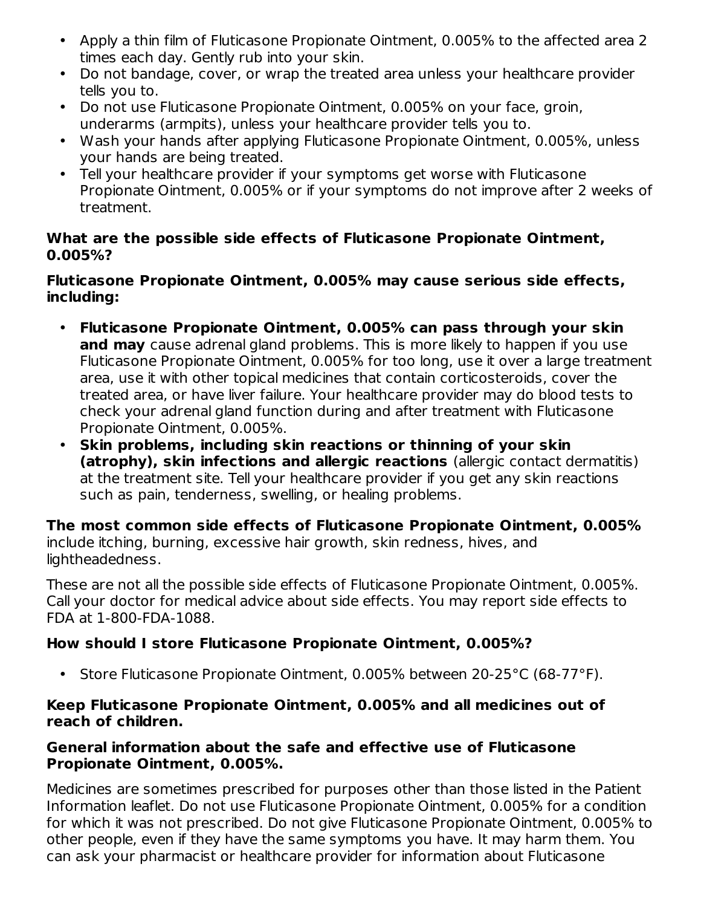- Apply a thin film of Fluticasone Propionate Ointment, 0.005% to the affected area 2 times each day. Gently rub into your skin.
- Do not bandage, cover, or wrap the treated area unless your healthcare provider tells you to.
- Do not use Fluticasone Propionate Ointment, 0.005% on your face, groin, underarms (armpits), unless your healthcare provider tells you to.
- Wash your hands after applying Fluticasone Propionate Ointment, 0.005%, unless your hands are being treated.
- Tell your healthcare provider if your symptoms get worse with Fluticasone Propionate Ointment, 0.005% or if your symptoms do not improve after 2 weeks of treatment.

#### **What are the possible side effects of Fluticasone Propionate Ointment, 0.005%?**

#### **Fluticasone Propionate Ointment, 0.005% may cause serious side effects, including:**

- **Fluticasone Propionate Ointment, 0.005% can pass through your skin and may** cause adrenal gland problems. This is more likely to happen if you use Fluticasone Propionate Ointment, 0.005% for too long, use it over a large treatment area, use it with other topical medicines that contain corticosteroids, cover the treated area, or have liver failure. Your healthcare provider may do blood tests to check your adrenal gland function during and after treatment with Fluticasone Propionate Ointment, 0.005%.
- **Skin problems, including skin reactions or thinning of your skin (atrophy), skin infections and allergic reactions** (allergic contact dermatitis) at the treatment site. Tell your healthcare provider if you get any skin reactions such as pain, tenderness, swelling, or healing problems.

**The most common side effects of Fluticasone Propionate Ointment, 0.005%** include itching, burning, excessive hair growth, skin redness, hives, and lightheadedness.

These are not all the possible side effects of Fluticasone Propionate Ointment, 0.005%. Call your doctor for medical advice about side effects. You may report side effects to FDA at 1-800-FDA-1088.

### **How should I store Fluticasone Propionate Ointment, 0.005%?**

• Store Fluticasone Propionate Ointment, 0.005% between 20-25°C (68-77°F).

#### **Keep Fluticasone Propionate Ointment, 0.005% and all medicines out of reach of children.**

#### **General information about the safe and effective use of Fluticasone Propionate Ointment, 0.005%.**

Medicines are sometimes prescribed for purposes other than those listed in the Patient Information leaflet. Do not use Fluticasone Propionate Ointment, 0.005% for a condition for which it was not prescribed. Do not give Fluticasone Propionate Ointment, 0.005% to other people, even if they have the same symptoms you have. It may harm them. You can ask your pharmacist or healthcare provider for information about Fluticasone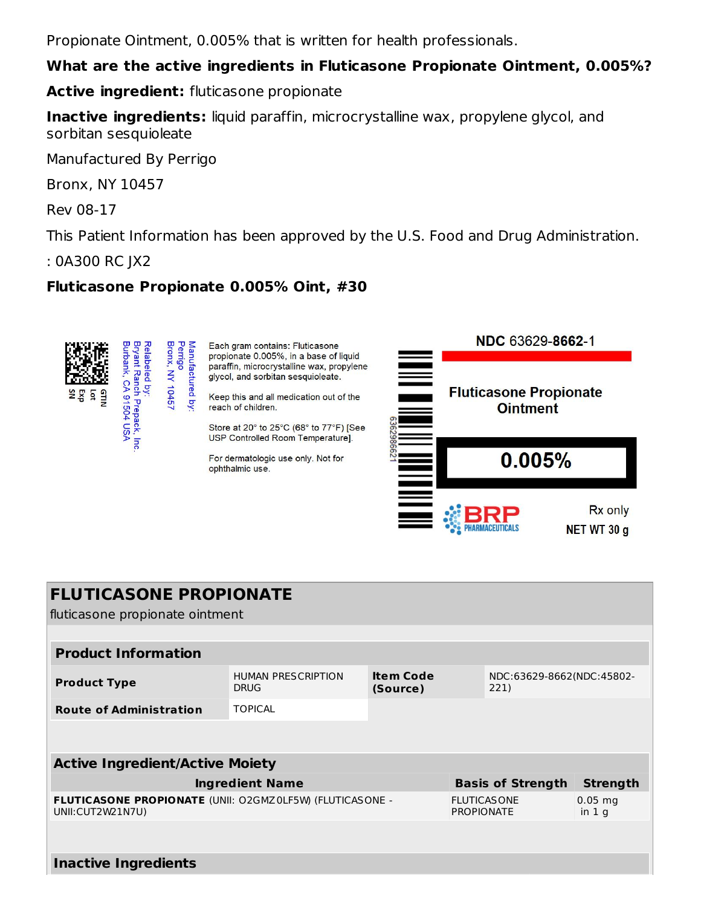Propionate Ointment, 0.005% that is written for health professionals.

#### **What are the active ingredients in Fluticasone Propionate Ointment, 0.005%?**

**Active ingredient:** fluticasone propionate

**Inactive ingredients:** liquid paraffin, microcrystalline wax, propylene glycol, and sorbitan sesquioleate

Manufactured By Perrigo

Bronx, NY 10457

Rev 08-17

This Patient Information has been approved by the U.S. Food and Drug Administration.

: 0A300 RC JX2

### **Fluticasone Propionate 0.005% Oint, #30**



**PHARMACEUTICALS** 

NET WT 30 g

| <b>FLUTICASONE PROPIONATE</b> |  |
|-------------------------------|--|
|-------------------------------|--|

fluticasone propionate ointment

| <b>Product Information</b>                                                    |                                          |                              |                    |                                   |                 |
|-------------------------------------------------------------------------------|------------------------------------------|------------------------------|--------------------|-----------------------------------|-----------------|
| <b>Product Type</b>                                                           | <b>HUMAN PRESCRIPTION</b><br><b>DRUG</b> | <b>Item Code</b><br>(Source) |                    | NDC:63629-8662(NDC:45802-<br>221) |                 |
| <b>Route of Administration</b>                                                | <b>TOPICAL</b>                           |                              |                    |                                   |                 |
|                                                                               |                                          |                              |                    |                                   |                 |
| <b>Active Ingredient/Active Moiety</b>                                        |                                          |                              |                    |                                   |                 |
| <b>Ingredient Name</b><br><b>Basis of Strength</b>                            |                                          |                              |                    |                                   | <b>Strength</b> |
| FLUTICASONE PROPIONATE (UNII: O2GMZ0LF5W) (FLUTICASONE -<br>UNII: CUT2W21N7U) |                                          | <b>PROPIONATE</b>            | <b>FLUTICASONE</b> | $0.05$ mg<br>in 1 <sub>q</sub>    |                 |
|                                                                               |                                          |                              |                    |                                   |                 |

#### **Inactive Ingredients**